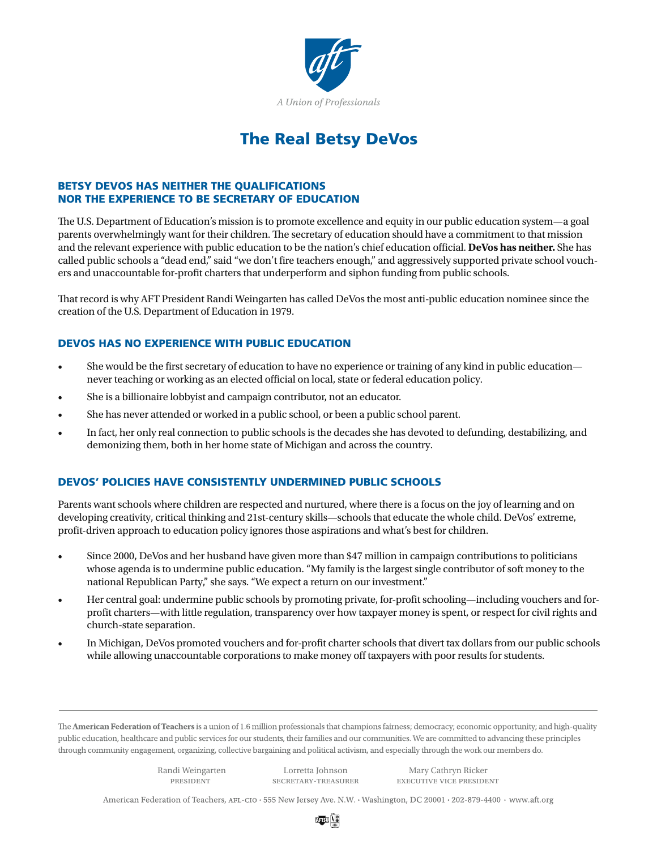

# The Real Betsy DeVos

## BETSY DEVOS HAS NEITHER THE QUALIFICATIONS NOR THE EXPERIENCE TO BE SECRETARY OF EDUCATION

The U.S. Department of Education's mission is to promote excellence and equity in our public education system—a goal parents overwhelmingly want for their children. The secretary of education should have a commitment to that mission and the relevant experience with public education to be the nation's chief education official. **DeVos has neither.** She has called public schools a "dead end," said "we don't fire teachers enough," and aggressively supported private school vouchers and unaccountable for-profit charters that underperform and siphon funding from public schools.

That record is why AFT President Randi Weingarten has called DeVos the most anti-public education nominee since the creation of the U.S. Department of Education in 1979.

## DEVOS HAS NO EXPERIENCE WITH PUBLIC EDUCATION

- She would be the first secretary of education to have no experience or training of any kind in public education never teaching or working as an elected official on local, state or federal education policy.
- She is a billionaire lobbyist and campaign contributor, not an educator.
- She has never attended or worked in a public school, or been a public school parent.
- In fact, her only real connection to public schools is the decades she has devoted to defunding, destabilizing, and demonizing them, both in her home state of Michigan and across the country.

## DEVOS' POLICIES HAVE CONSISTENTLY UNDERMINED PUBLIC SCHOOLS

Parents want schools where children are respected and nurtured, where there is a focus on the joy of learning and on developing creativity, critical thinking and 21st-century skills—schools that educate the whole child. DeVos' extreme, profit-driven approach to education policy ignores those aspirations and what's best for children.

- Since 2000, DeVos and her husband have given more than \$47 million in campaign contributions to politicians whose agenda is to undermine public education. "My family is the largest single contributor of soft money to the national Republican Party," she says. "We expect a return on our investment."
- Her central goal: undermine public schools by promoting private, for-profit schooling—including vouchers and forprofit charters—with little regulation, transparency over how taxpayer money is spent, or respect for civil rights and church-state separation.
- In Michigan, DeVos promoted vouchers and for-profit charter schools that divert tax dollars from our public schools while allowing unaccountable corporations to make money off taxpayers with poor results for students.

The American Federation of Teachers is a union of 1.6 million professionals that champions fairness; democracy; economic opportunity; and high-quality public education, healthcare and public services for our students, their families and our communities. We are committed to advancing these principles through community engagement, organizing, collective bargaining and political activism, and especially through the work our members do.

president secretary-treasurer executive vice president Randi Weingarten Lorretta Johnson Mary Cathryn Ricker

American Federation of Teachers, AFL-CIO · 555 New Jersey Ave. N.W. · Washington, DC 20001 · 202-879-4400 · www.aft.org